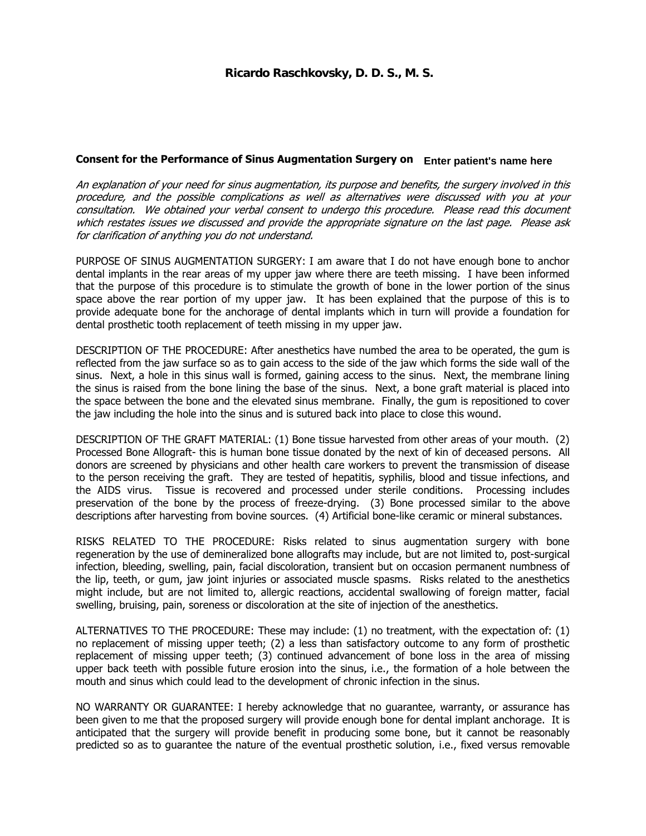## Consent for the Performance of Sinus Augmentation Surgery on **Enter patient's name here**

An explanation of your need for sinus augmentation, its purpose and benefits, the surgery involved in this procedure, and the possible complications as well as alternatives were discussed with you at your consultation. We obtained your verbal consent to undergo this procedure. Please read this document which restates issues we discussed and provide the appropriate signature on the last page. Please ask for clarification of anything you do not understand.

PURPOSE OF SINUS AUGMENTATION SURGERY: I am aware that I do not have enough bone to anchor dental implants in the rear areas of my upper jaw where there are teeth missing. I have been informed that the purpose of this procedure is to stimulate the growth of bone in the lower portion of the sinus space above the rear portion of my upper jaw. It has been explained that the purpose of this is to provide adequate bone for the anchorage of dental implants which in turn will provide a foundation for dental prosthetic tooth replacement of teeth missing in my upper jaw.

DESCRIPTION OF THE PROCEDURE: After anesthetics have numbed the area to be operated, the gum is reflected from the jaw surface so as to gain access to the side of the jaw which forms the side wall of the sinus. Next, a hole in this sinus wall is formed, gaining access to the sinus. Next, the membrane lining the sinus is raised from the bone lining the base of the sinus. Next, a bone graft material is placed into the space between the bone and the elevated sinus membrane. Finally, the gum is repositioned to cover the jaw including the hole into the sinus and is sutured back into place to close this wound.

DESCRIPTION OF THE GRAFT MATERIAL: (1) Bone tissue harvested from other areas of your mouth. (2) Processed Bone Allograft- this is human bone tissue donated by the next of kin of deceased persons. All donors are screened by physicians and other health care workers to prevent the transmission of disease to the person receiving the graft. They are tested of hepatitis, syphilis, blood and tissue infections, and the AIDS virus. Tissue is recovered and processed under sterile conditions. Processing includes preservation of the bone by the process of freeze-drying. (3) Bone processed similar to the above descriptions after harvesting from bovine sources. (4) Artificial bone-like ceramic or mineral substances.

RISKS RELATED TO THE PROCEDURE: Risks related to sinus augmentation surgery with bone regeneration by the use of demineralized bone allografts may include, but are not limited to, post-surgical infection, bleeding, swelling, pain, facial discoloration, transient but on occasion permanent numbness of the lip, teeth, or gum, jaw joint injuries or associated muscle spasms. Risks related to the anesthetics might include, but are not limited to, allergic reactions, accidental swallowing of foreign matter, facial swelling, bruising, pain, soreness or discoloration at the site of injection of the anesthetics.

ALTERNATIVES TO THE PROCEDURE: These may include: (1) no treatment, with the expectation of: (1) no replacement of missing upper teeth; (2) a less than satisfactory outcome to any form of prosthetic replacement of missing upper teeth; (3) continued advancement of bone loss in the area of missing upper back teeth with possible future erosion into the sinus, i.e., the formation of a hole between the mouth and sinus which could lead to the development of chronic infection in the sinus.

NO WARRANTY OR GUARANTEE: I hereby acknowledge that no guarantee, warranty, or assurance has been given to me that the proposed surgery will provide enough bone for dental implant anchorage. It is anticipated that the surgery will provide benefit in producing some bone, but it cannot be reasonably predicted so as to guarantee the nature of the eventual prosthetic solution, i.e., fixed versus removable